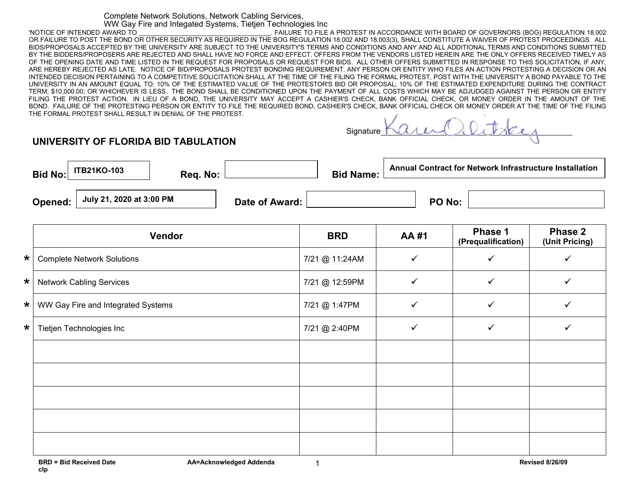## Complete Network Solutions, Network Cabling Services, WW Gay Fire and Integated Systems, Tietjen Technologies Inc

'NOTICE OF INTENDED AWARD TO \_\_\_\_\_\_\_\_\_\_\_\_\_\_\_\_\_\_\_\_\_\_\_\_\_\_\_\_\_\_\_\_\_\_\_\_\_. FAILURE TO FILE A PROTEST IN ACCORDANCE WITH BOARD OF GOVERNORS (BOG) REGULATION 18.002 OR FAILURE TO POST THE BOND OR OTHER SECURITY AS REQUIRED IN THE BOG REGULATION 18.002 AND 18.003(3), SHALL CONSTITUTE A WAIVER OF PROTEST PROCEEDINGS. ALL BIDS/PROPOSALS ACCEPTED BY THE UNIVERSITY ARE SUBJECT TO THE UNIVERSITY'S TERMS AND CONDITIONS AND ANY AND ALL ADDITIONAL TERMS AND CONDITIONS SUBMITTED BY THE BIDDERS/PROPOSERS ARE REJECTED AND SHALL HAVE NO FORCE AND EFFECT. OFFERS FROM THE VENDORS LISTED HEREIN ARE THE ONLY OFFERS RECEIVED TIMELY AS OF THE OPENING DATE AND TIME LISTED IN THE REQUEST FOR PROPOSALS OR REQUEST FOR BIDS. ALL OTHER OFFERS SUBMITTED IN RESPONSE TO THIS SOLICITATION, IF ANY, ARE HEREBY REJECTED AS LATE. NOTICE OF BID/PROPOSALS PROTEST BONDING REQUIREMENT. ANY PERSON OR ENTITY WHO FILES AN ACTION PROTESTING A DECISION OR AN INTENDED DECISION PERTAINING TO A COMPETITIVE SOLICITATION SHALL AT THE TIME OF THE FILING THE FORMAL PROTEST, POST WITH THE UNIVERSITY A BOND PAYABLE TO THE UNIVERSITY IN AN AMOUNT EQUAL TO: 10% OF THE ESTIMATED VALUE OF THE PROTESTOR'S BID OR PROPOSAL; 10% OF THE ESTIMATED EXPENDITURE DURING THE CONTRACT TERM; \$10,000.00; OR WHICHEVER IS LESS. THE BOND SHALL BE CONDITIONED UPON THE PAYMENT OF ALL COSTS WHICH MAY BE ADJUDGED AGAINST THE PERSON OR ENTITY FILING THE PROTEST ACTION. IN LIEU OF A BOND, THE UNIVERSITY MAY ACCEPT A CASHIER'S CHECK, BANK OFFICIAL CHECK, OR MONEY ORDER IN THE AMOUNT OF THE BOND. FAILURE OF THE PROTESTING PERSON OR ENTITY TO FILE THE REQUIRED BOND, CASHIER'S CHECK, BANK OFFICIAL CHECK OR MONEY ORDER AT THE TIME OF THE FILING THE FORMAL PROTEST SHALL RESULT IN DENIAL OF THE PROTEST.

watse Signature

## **UNIVERSITY OF FLORIDA BID TABULATION**

|         | Bid No: $ $ <sup>ITB21KO-103</sup> | Reg. No: |                | <b>Bid Name: L</b> | <b>Annual Contract for Network Infrastructure Installation</b> |  |
|---------|------------------------------------|----------|----------------|--------------------|----------------------------------------------------------------|--|
| Opened: | July 21, 2020 at 3:00 PM           |          | Date of Award: |                    | <b>PO No:</b>                                                  |  |

|         | Vendor                             | <b>BRD</b>     | <b>AA#1</b> | <b>Phase 1</b><br>(Prequalification) | <b>Phase 2</b><br>(Unit Pricing) |
|---------|------------------------------------|----------------|-------------|--------------------------------------|----------------------------------|
| $\star$ | <b>Complete Network Solutions</b>  | 7/21 @ 11:24AM | ✓           | ✓                                    |                                  |
| $\star$ | <b>Network Cabling Services</b>    | 7/21 @ 12:59PM | ✓           | ✓                                    |                                  |
| $\star$ | WW Gay Fire and Integrated Systems | 7/21 @ 1:47PM  |             |                                      |                                  |
| $\star$ | Tietjen Technologies Inc           | 7/21 @ 2:40PM  |             | ✓                                    |                                  |
|         |                                    |                |             |                                      |                                  |
|         |                                    |                |             |                                      |                                  |
|         |                                    |                |             |                                      |                                  |
|         |                                    |                |             |                                      |                                  |
|         |                                    |                |             |                                      |                                  |

1